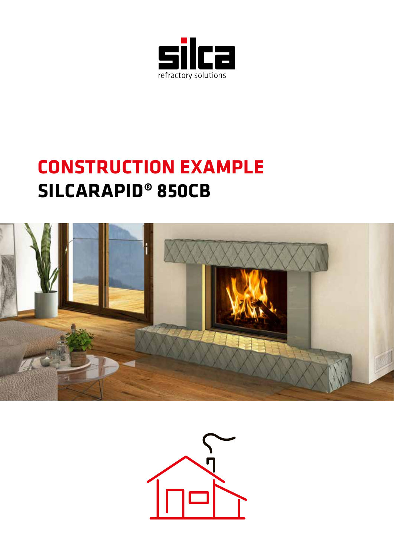

### **CONSTRUCTION EXAMPLE SILCARAPID® 850CB**



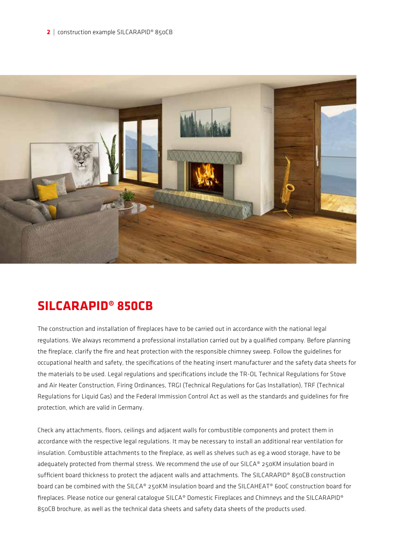

#### **SILCARAPID® 850CB**

The construction and installation of fireplaces have to be carried out in accordance with the national legal regulations. We always recommend a professional installation carried out by a qualified company. Before planning the fireplace, clarify the fire and heat protection with the responsible chimney sweep. Follow the guidelines for occupational health and safety, the specifications of the heating insert manufacturer and the safety data sheets for the materials to be used. Legal regulations and specifications include the TR-OL Technical Regulations for Stove and Air Heater Construction, Firing Ordinances, TRGI (Technical Regulations for Gas Installation), TRF (Technical Regulations for Liquid Gas) and the Federal Immission Control Act as well as the standards and guidelines for fire protection, which are valid in Germany.

Check any attachments, floors, ceilings and adjacent walls for combustible components and protect them in accordance with the respective legal regulations. It may be necessary to install an additional rear ventilation for insulation. Combustible attachments to the fireplace, as well as shelves such as eg.a wood storage, have to be adequately protected from thermal stress. We recommend the use of our SILCA® 250KM insulation board in sufficient board thickness to protect the adjacent walls and attachments. The SILCARAPID® 850CB construction board can be combined with the SILCA® 250KM insulation board and the SILCAHEAT® 600C construction board for fireplaces. Please notice our general catalogue SILCA® Domestic Fireplaces and Chimneys and the SILCARAPID® 850CB brochure, as well as the technical data sheets and safety data sheets of the products used.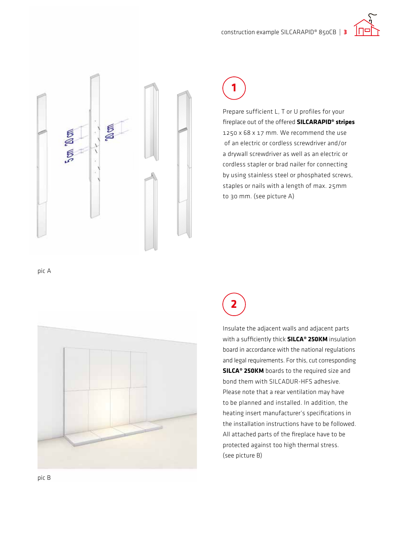construction example SILCARAPID® 850CB | **3**





### **1**

Prepare sufficient L, T or U profiles for your fireplace out of the offered **SILCARAPID® stripes**  1250 x 68 x 17 mm. We recommend the use of an electric or cordless screwdriver and/or a drywall screwdriver as well as an electric or cordless stapler or brad nailer for connecting by using stainless steel or phosphated screws, staples or nails with a length of max. 25mm to 30 mm. (see picture A)

pic A



**2**

Insulate the adjacent walls and adjacent parts with a sufficiently thick **SILCA® 250KM** insulation board in accordance with the national regulations and legal requirements. For this, cut corresponding **SILCA® 250KM** boards to the required size and bond them with SILCADUR-HFS adhesive. Please note that a rear ventilation may have to be planned and installed. In addition, the heating insert manufacturer's specifications in the installation instructions have to be followed. All attached parts of the fireplace have to be protected against too high thermal stress. (see picture B)

pic B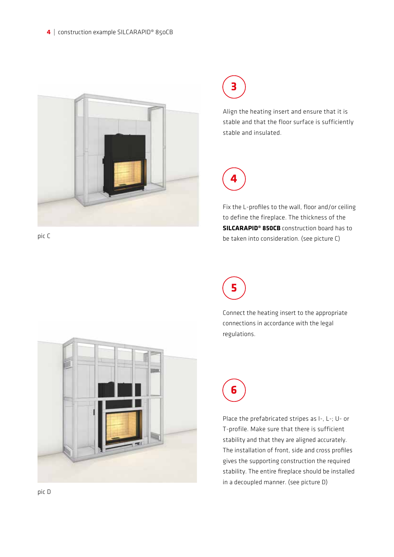



Align the heating insert and ensure that it is stable and that the floor surface is sufficiently stable and insulated.



Fix the L-profiles to the wall, floor and/or ceiling to define the fireplace. The thickness of the **SILCARAPID® 850CB** construction board has to be taken into consideration. (see picture C)



Connect the heating insert to the appropriate connections in accordance with the legal regulations.



Place the prefabricated stripes as I-, L-; U- or T-profile. Make sure that there is sufficient stability and that they are aligned accurately. The installation of front, side and cross profiles gives the supporting construction the required stability. The entire fireplace should be installed in a decoupled manner. (see picture D)



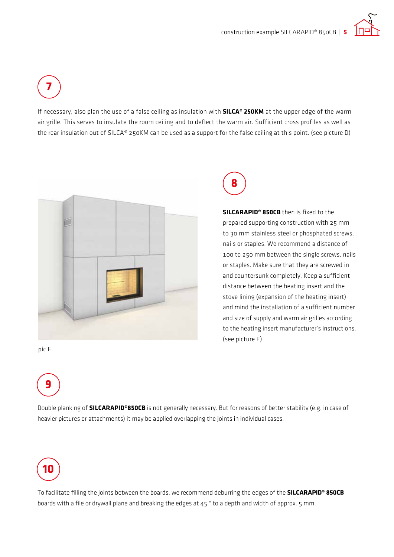**7**

If necessary, also plan the use of a false ceiling as insulation with **SILCA® 250KM** at the upper edge of the warm air grille. This serves to insulate the room ceiling and to deflect the warm air. Sufficient cross profiles as well as the rear insulation out of SILCA® 250KM can be used as a support for the false ceiling at this point. (see picture D)





**SILCARAPID® 850CB** then is fixed to the prepared supporting construction with 25 mm to 30 mm stainless steel or phosphated screws, nails or staples. We recommend a distance of 100 to 250 mm between the single screws, nails or staples. Make sure that they are screwed in and countersunk completely. Keep a sufficient distance between the heating insert and the stove lining (expansion of the heating insert) and mind the installation of a sufficient number and size of supply and warm air grilles according to the heating insert manufacturer's instructions. (see picture E)

pic E



Double planking of **SILCARAPID®850CB** is not generally necessary. But for reasons of better stability (e.g. in case of heavier pictures or attachments) it may be applied overlapping the joints in individual cases.



To facilitate filling the joints between the boards, we recommend deburring the edges of the **SILCARAPID® 850CB** boards with a file or drywall plane and breaking the edges at 45 ° to a depth and width of approx. 5 mm.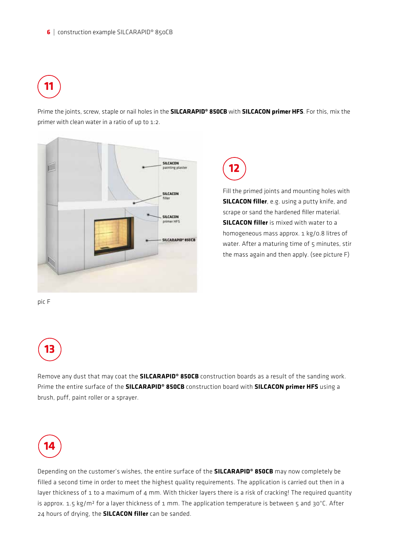# **11**

Prime the joints, screw, staple or nail holes in the **SILCARAPID® 850CB** with **SILCACON primer HFS**. For this, mix the primer with clean water in a ratio of up to 1:2.



**12**

Fill the primed joints and mounting holes with **SILCACON filler**, e.g. using a putty knife, and scrape or sand the hardened filler material. **SILCACON filler** is mixed with water to a homogeneous mass approx. 1 kg/0.8 litres of water. After a maturing time of 5 minutes, stir the mass again and then apply. (see picture F)

pic F



Remove any dust that may coat the **SILCARAPID® 850CB** construction boards as a result of the sanding work. Prime the entire surface of the **SILCARAPID® 850CB** construction board with **SILCACON primer HFS** using a brush, puff, paint roller or a sprayer.



Depending on the customer's wishes, the entire surface of the **SILCARAPID® 850CB** may now completely be filled a second time in order to meet the highest quality requirements. The application is carried out then in a layer thickness of 1 to a maximum of 4 mm. With thicker layers there is a risk of cracking! The required quantity is approx. 1.5 kg/m<sup>2</sup> for a layer thickness of 1 mm. The application temperature is between 5 and 30°C. After 24 hours of drying, the **SILCACON filler** can be sanded.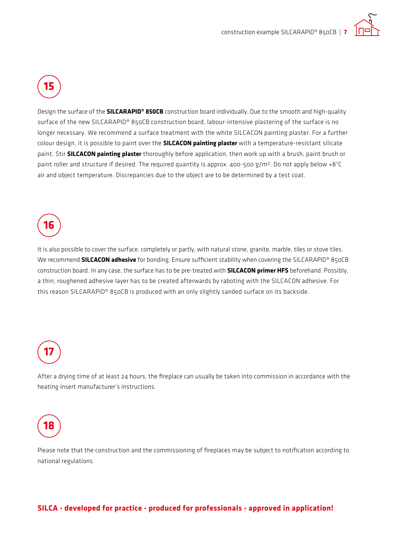

**15**

Design the surface of the **SILCARAPID® 850CB** construction board individually. Due to the smooth and high-quality surface of the new SILCARAPID® 850CB construction board, labour-intensive plastering of the surface is no longer necessary. We recommend a surface treatment with the white SILCACON painting plaster. For a further colour design, it is possible to paint over the **SILCACON painting plaster** with a temperature-resistant silicate paint. Stir **SILCACON painting plaster** thoroughly before application, then work up with a brush, paint brush or paint roller and structure if desired. The required quantity is approx. 400-500 g/m². Do not apply below +8°C air and object temperature. Discrepancies due to the object are to be determined by a test coat.

# **16**

It is also possible to cover the surface, completely or partly, with natural stone, granite, marble, tiles or stove tiles. We recommend **SILCACON adhesive** for bonding. Ensure sufficient stability when covering the SILCARAPID® 850CB construction board. In any case, the surface has to be pre-treated with **SILCACON primer HFS** beforehand. Possibly, a thin, roughened adhesive layer has to be created afterwards by raboting with the SILCACON adhesive. For this reason SILCARAPID® 850CB is produced with an only slightly sanded surface on its backside.

## **17**

After a drying time of at least 24 hours, the fireplace can usually be taken into commission in accordance with the heating insert manufacturer's instructions.

### **18**

Please note that the construction and the commissioning of fireplaces may be subject to notification according to national regulations.

#### **SILCA - developed for practice - produced for professionals - approved in application!**